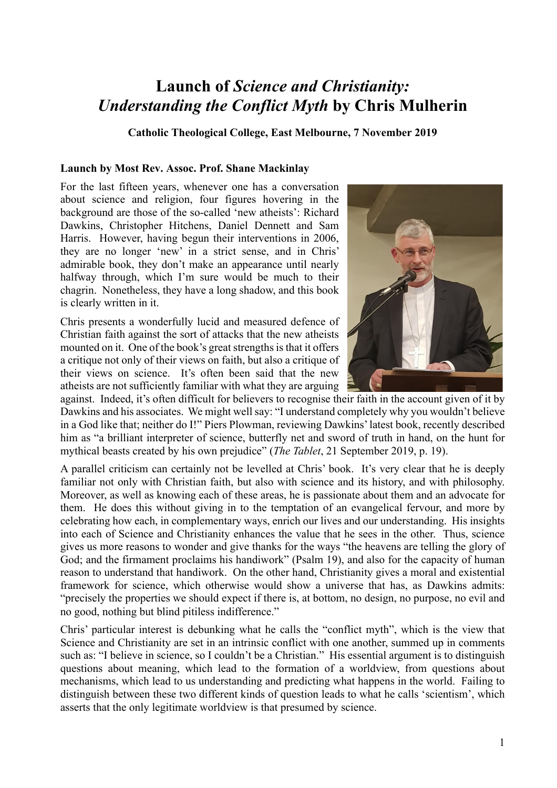## **Launch of** *Science and Christianity: Understanding the Conflict Myth* **by Chris Mulherin**

**Catholic Theological College, East Melbourne, 7 November 2019**

## **Launch by Most Rev. Assoc. Prof. Shane Mackinlay**

For the last fifteen years, whenever one has a conversation about science and religion, four figures hovering in the background are those of the so-called 'new atheists': Richard Dawkins, Christopher Hitchens, Daniel Dennett and Sam Harris. However, having begun their interventions in 2006, they are no longer 'new' in a strict sense, and in Chris' admirable book, they don't make an appearance until nearly halfway through, which I'm sure would be much to their chagrin. Nonetheless, they have a long shadow, and this book is clearly written in it.

Chris presents a wonderfully lucid and measured defence of Christian faith against the sort of attacks that the new atheists mounted on it. One of the book's great strengths is that it offers a critique not only of their views on faith, but also a critique of their views on science. It's often been said that the new atheists are not sufficiently familiar with what they are arguing



against. Indeed, it's often difficult for believers to recognise their faith in the account given of it by Dawkins and his associates. We might well say: "I understand completely why you wouldn't believe in a God like that; neither do I!" Piers Plowman, reviewing Dawkins' latest book, recently described him as "a brilliant interpreter of science, butterfly net and sword of truth in hand, on the hunt for mythical beasts created by his own prejudice" (*The Tablet*, 21 September 2019, p. 19).

A parallel criticism can certainly not be levelled at Chris' book. It's very clear that he is deeply familiar not only with Christian faith, but also with science and its history, and with philosophy. Moreover, as well as knowing each of these areas, he is passionate about them and an advocate for them. He does this without giving in to the temptation of an evangelical fervour, and more by celebrating how each, in complementary ways, enrich our lives and our understanding. His insights into each of Science and Christianity enhances the value that he sees in the other. Thus, science gives us more reasons to wonder and give thanks for the ways "the heavens are telling the glory of God; and the firmament proclaims his handiwork" (Psalm 19), and also for the capacity of human reason to understand that handiwork. On the other hand, Christianity gives a moral and existential framework for science, which otherwise would show a universe that has, as Dawkins admits: "precisely the properties we should expect if there is, at bottom, no design, no purpose, no evil and no good, nothing but blind pitiless indifference."

Chris' particular interest is debunking what he calls the "conflict myth", which is the view that Science and Christianity are set in an intrinsic conflict with one another, summed up in comments such as: "I believe in science, so I couldn't be a Christian." His essential argument is to distinguish questions about meaning, which lead to the formation of a worldview, from questions about mechanisms, which lead to us understanding and predicting what happens in the world. Failing to distinguish between these two different kinds of question leads to what he calls 'scientism', which asserts that the only legitimate worldview is that presumed by science.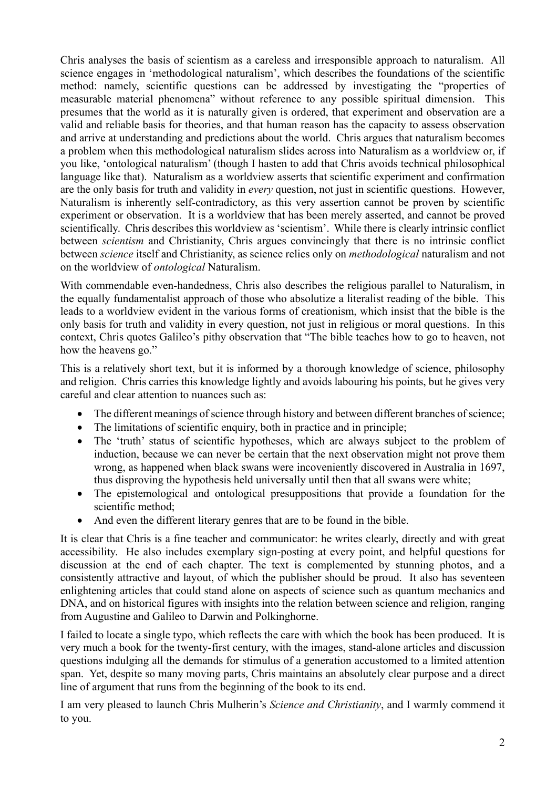Chris analyses the basis of scientism as a careless and irresponsible approach to naturalism. All science engages in 'methodological naturalism', which describes the foundations of the scientific method: namely, scientific questions can be addressed by investigating the "properties of measurable material phenomena" without reference to any possible spiritual dimension. This presumes that the world as it is naturally given is ordered, that experiment and observation are a valid and reliable basis for theories, and that human reason has the capacity to assess observation and arrive at understanding and predictions about the world. Chris argues that naturalism becomes a problem when this methodological naturalism slides across into Naturalism as a worldview or, if you like, 'ontological naturalism' (though I hasten to add that Chris avoids technical philosophical language like that). Naturalism as a worldview asserts that scientific experiment and confirmation are the only basis for truth and validity in *every* question, not just in scientific questions. However, Naturalism is inherently self-contradictory, as this very assertion cannot be proven by scientific experiment or observation. It is a worldview that has been merely asserted, and cannot be proved scientifically. Chris describes this worldview as 'scientism'. While there is clearly intrinsic conflict between *scientism* and Christianity, Chris argues convincingly that there is no intrinsic conflict between *science* itself and Christianity, as science relies only on *methodological* naturalism and not on the worldview of *ontological* Naturalism.

With commendable even-handedness, Chris also describes the religious parallel to Naturalism, in the equally fundamentalist approach of those who absolutize a literalist reading of the bible. This leads to a worldview evident in the various forms of creationism, which insist that the bible is the only basis for truth and validity in every question, not just in religious or moral questions. In this context, Chris quotes Galileo's pithy observation that "The bible teaches how to go to heaven, not how the heavens go."

This is a relatively short text, but it is informed by a thorough knowledge of science, philosophy and religion. Chris carries this knowledge lightly and avoids labouring his points, but he gives very careful and clear attention to nuances such as:

- The different meanings of science through history and between different branches of science;
- The limitations of scientific enquiry, both in practice and in principle;
- The 'truth' status of scientific hypotheses, which are always subject to the problem of induction, because we can never be certain that the next observation might not prove them wrong, as happened when black swans were incoveniently discovered in Australia in 1697, thus disproving the hypothesis held universally until then that all swans were white;
- The epistemological and ontological presuppositions that provide a foundation for the scientific method;
- And even the different literary genres that are to be found in the bible.

It is clear that Chris is a fine teacher and communicator: he writes clearly, directly and with great accessibility. He also includes exemplary sign-posting at every point, and helpful questions for discussion at the end of each chapter. The text is complemented by stunning photos, and a consistently attractive and layout, of which the publisher should be proud. It also has seventeen enlightening articles that could stand alone on aspects of science such as quantum mechanics and DNA, and on historical figures with insights into the relation between science and religion, ranging from Augustine and Galileo to Darwin and Polkinghorne.

I failed to locate a single typo, which reflects the care with which the book has been produced. It is very much a book for the twenty-first century, with the images, stand-alone articles and discussion questions indulging all the demands for stimulus of a generation accustomed to a limited attention span. Yet, despite so many moving parts, Chris maintains an absolutely clear purpose and a direct line of argument that runs from the beginning of the book to its end.

I am very pleased to launch Chris Mulherin's *Science and Christianity*, and I warmly commend it to you.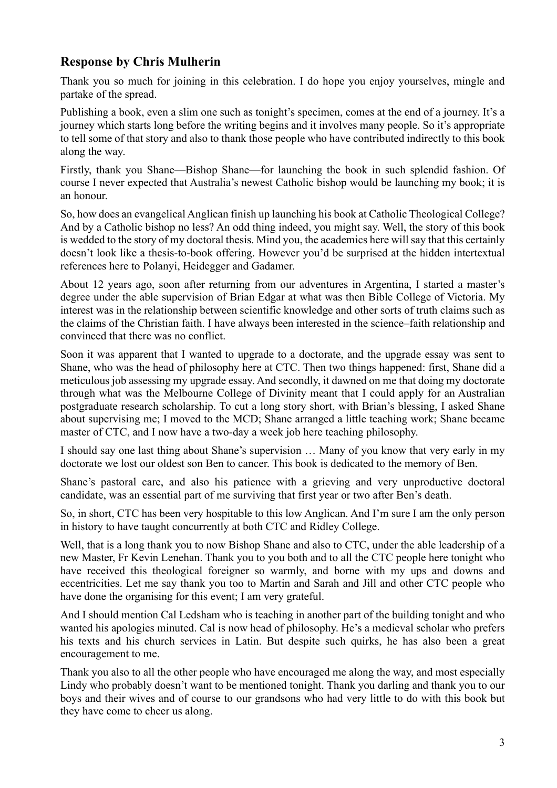## **Response by Chris Mulherin**

Thank you so much for joining in this celebration. I do hope you enjoy yourselves, mingle and partake of the spread.

Publishing a book, even a slim one such as tonight's specimen, comes at the end of a journey. It's a journey which starts long before the writing begins and it involves many people. So it's appropriate to tell some of that story and also to thank those people who have contributed indirectly to this book along the way.

Firstly, thank you Shane—Bishop Shane—for launching the book in such splendid fashion. Of course I never expected that Australia's newest Catholic bishop would be launching my book; it is an honour.

So, how does an evangelical Anglican finish up launching his book at Catholic Theological College? And by a Catholic bishop no less? An odd thing indeed, you might say. Well, the story of this book is wedded to the story of my doctoral thesis. Mind you, the academics here will say that this certainly doesn't look like a thesis-to-book offering. However you'd be surprised at the hidden intertextual references here to Polanyi, Heidegger and Gadamer.

About 12 years ago, soon after returning from our adventures in Argentina, I started a master's degree under the able supervision of Brian Edgar at what was then Bible College of Victoria. My interest was in the relationship between scientific knowledge and other sorts of truth claims such as the claims of the Christian faith. I have always been interested in the science–faith relationship and convinced that there was no conflict.

Soon it was apparent that I wanted to upgrade to a doctorate, and the upgrade essay was sent to Shane, who was the head of philosophy here at CTC. Then two things happened: first, Shane did a meticulous job assessing my upgrade essay. And secondly, it dawned on me that doing my doctorate through what was the Melbourne College of Divinity meant that I could apply for an Australian postgraduate research scholarship. To cut a long story short, with Brian's blessing, I asked Shane about supervising me; I moved to the MCD; Shane arranged a little teaching work; Shane became master of CTC, and I now have a two-day a week job here teaching philosophy.

I should say one last thing about Shane's supervision … Many of you know that very early in my doctorate we lost our oldest son Ben to cancer. This book is dedicated to the memory of Ben.

Shane's pastoral care, and also his patience with a grieving and very unproductive doctoral candidate, was an essential part of me surviving that first year or two after Ben's death.

So, in short, CTC has been very hospitable to this low Anglican. And I'm sure I am the only person in history to have taught concurrently at both CTC and Ridley College.

Well, that is a long thank you to now Bishop Shane and also to CTC, under the able leadership of a new Master, Fr Kevin Lenehan. Thank you to you both and to all the CTC people here tonight who have received this theological foreigner so warmly, and borne with my ups and downs and eccentricities. Let me say thank you too to Martin and Sarah and Jill and other CTC people who have done the organising for this event; I am very grateful.

And I should mention Cal Ledsham who is teaching in another part of the building tonight and who wanted his apologies minuted. Cal is now head of philosophy. He's a medieval scholar who prefers his texts and his church services in Latin. But despite such quirks, he has also been a great encouragement to me.

Thank you also to all the other people who have encouraged me along the way, and most especially Lindy who probably doesn't want to be mentioned tonight. Thank you darling and thank you to our boys and their wives and of course to our grandsons who had very little to do with this book but they have come to cheer us along.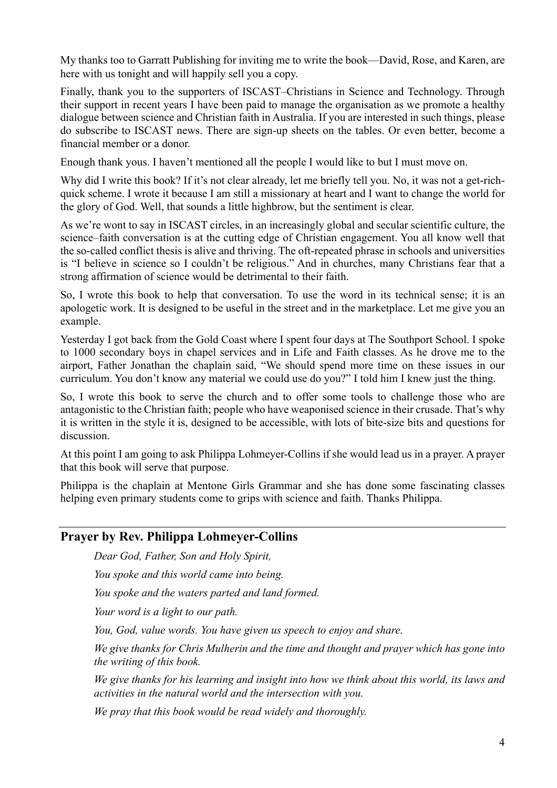My thanks too to Garratt Publishing for inviting me to write the book—David, Rose, and Karen, are here with us tonight and will happily sell you a copy.

Finally, thank you to the supporters of ISCAST–Christians in Science and Technology. Through their support in recent years I have been paid to manage the organisation as we promote a healthy dialogue between science and Christian faith in Australia. If you are interested in such things, please do subscribe to ISCAST news. There are sign-up sheets on the tables. Or even better, become a financial member or a donor.

Enough thank yous. I haven't mentioned all the people I would like to but I must move on.

Why did I write this book? If it's not clear already, let me briefly tell you. No, it was not a get-richquick scheme. I wrote it because I am still a missionary at heart and I want to change the world for the glory of God. Well, that sounds a little highbrow, but the sentiment is clear.

As we're wont to say in ISCAST circles, in an increasingly global and secular scientific culture, the science–faith conversation is at the cutting edge of Christian engagement. You all know well that the so-called conflict thesis is alive and thriving. The oft-repeated phrase in schools and universities is "I believe in science so I couldn't be religious." And in churches, many Christians fear that a strong affirmation of science would be detrimental to their faith.

So, I wrote this book to help that conversation. To use the word in its technical sense; it is an apologetic work. It is designed to be useful in the street and in the marketplace. Let me give you an example.

Yesterday I got back from the Gold Coast where I spent four days at The Southport School. I spoke to 1000 secondary boys in chapel services and in Life and Faith classes. As he drove me to the airport, Father Jonathan the chaplain said, "We should spend more time on these issues in our curriculum. You don't know any material we could use do you?" I told him I knew just the thing.

So, I wrote this book to serve the church and to offer some tools to challenge those who are antagonistic to the Christian faith; people who have weaponised science in their crusade. That's why it is written in the style it is, designed to be accessible, with lots of bite-size bits and questions for discussion.

At this point I am going to ask Philippa Lohmeyer-Collins if she would lead us in a prayer. A prayer that this book will serve that purpose.

Philippa is the chaplain at Mentone Girls Grammar and she has done some fascinating classes helping even primary students come to grips with science and faith. Thanks Philippa.

## **Prayer by Rev. Philippa Lohmeyer-Collins**

*Dear God, Father, Son and Holy Spirit,*

*You spoke and this world came into being.*

*You spoke and the waters parted and land formed.*

*Your word is a light to our path.*

*You, God, value words. You have given us speech to enjoy and share.*

*We give thanks for Chris Mulherin and the time and thought and prayer which has gone into the writing of this book.*

*We give thanks for his learning and insight into how we think about this world, its laws and activities in the natural world and the intersection with you.*

*We pray that this book would be read widely and thoroughly.*